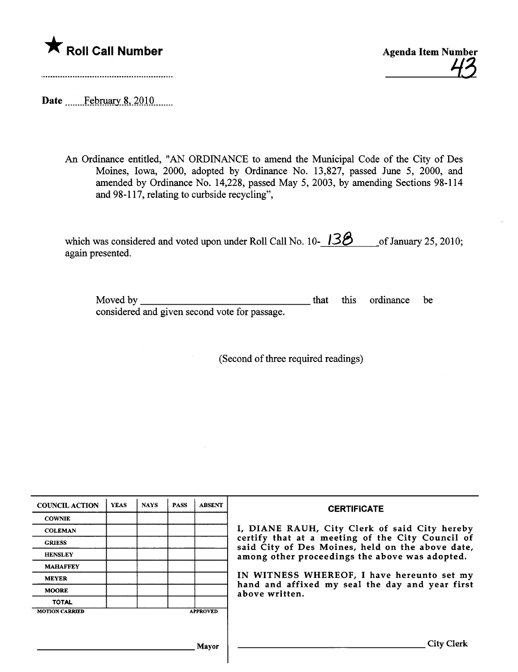

43

Date \_\_\_\_\_\_\_February 8, 2010

An Ordinance entitled, "AN ORDINANCE to amend the Municipal Code of the City of Des Moines, Iowa, 2000, adopted by Ordinance No. 13,827, passed June 5, 2000, and amended by Ordinance No. 14,228, passed May 5, 2003, by amending Sections 98-114 and 98-117, relating to curbside recycling",

which was considered and voted upon under Roll Call No.  $10 - 138$  of January 25, 2010; again presented.

Moved by considered and given second vote for passage. **that** this ordinance be

(Second of three required readings)

| <b>COUNCIL ACTION</b> | <b>YEAS</b> | <b>NAYS</b> | <b>PASS</b> | <b>ABSENT</b>   | <b>CERTIFICATE</b>                                                                                                                                     |  |  |  |
|-----------------------|-------------|-------------|-------------|-----------------|--------------------------------------------------------------------------------------------------------------------------------------------------------|--|--|--|
| <b>COWNIE</b>         |             |             |             |                 |                                                                                                                                                        |  |  |  |
| <b>COLEMAN</b>        |             |             |             |                 | I, DIANE RAUH, City Clerk of said City hereby                                                                                                          |  |  |  |
| <b>GRIESS</b>         |             |             |             |                 | certify that at a meeting of the City Council of<br>said City of Des Moines, held on the above date,<br>among other proceedings the above was adopted. |  |  |  |
| <b>HENSLEY</b>        |             |             |             |                 |                                                                                                                                                        |  |  |  |
| <b>MAHAFFEY</b>       |             |             |             |                 |                                                                                                                                                        |  |  |  |
| <b>MEYER</b>          |             |             |             |                 | IN WITNESS WHEREOF, I have hereunto set my                                                                                                             |  |  |  |
| <b>MOORE</b>          |             |             |             |                 | hand and affixed my seal the day and year first<br>above written.                                                                                      |  |  |  |
| <b>TOTAL</b>          |             |             |             |                 |                                                                                                                                                        |  |  |  |
| <b>MOTION CARRIED</b> |             |             |             | <b>APPROVED</b> |                                                                                                                                                        |  |  |  |
|                       |             |             |             |                 |                                                                                                                                                        |  |  |  |
|                       |             |             |             | Mayor           | City                                                                                                                                                   |  |  |  |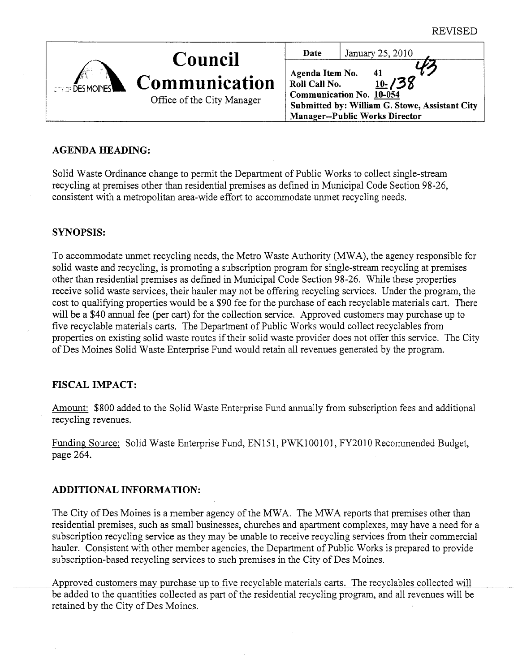| <b>CONDE DES MOINES</b> | <b>Council</b>                              | Date                                    | January 25, 2010                                                                                                                        |
|-------------------------|---------------------------------------------|-----------------------------------------|-----------------------------------------------------------------------------------------------------------------------------------------|
|                         | Communication<br>Office of the City Manager | Agenda Item No.<br><b>Roll Call No.</b> | 41<br>$10 - 138$<br>Communication No. 10-054<br>Submitted by: William G. Stowe, Assistant City<br><b>Manager--Public Works Director</b> |

# AGENDA HEADING:

Solid Waste Ordinance change to permit the Department of Public Works to collect single-stream recycling at premises other than residential premises as defined in Municipal Code Section 98-26, consistent with a metropolitan area-wide effort to accommodate unmet recycling needs.

# SYNOPSIS:

To accommodate unmet recycling needs, the Metro Waste Authority (MWA), the agency responsible for solid waste and recycling, is promoting a subscription program for single-stream recycling at premises other than residential premises as defined in Municipal Code Section 98-26. Whle these properties receive solid waste services, their hauler may not be offering recycling services. Under the program, the cost to qualifying properties would be a \$90 fee for the purchase of each recyclable materials car. There will be a \$40 annual fee (per cart) for the collection service. Approved customers may purchase up to five recyclable materials cars. The Deparment of Public Works would collect recyclables from properties on existing solid waste routes if their solid waste provider does not offer ths service. The City of Des Moines Solid Waste Enterprise Fund would retain all revenues generated by the program.

# FISCAL IMPACT:

Amount: \$800 added to the Solid Waste Enterprise Fund anually from subscription fees and additional recycling revenues.

Funding Source: Solid Waste Enterprise Fund, EN151, PWKI00101, FY2010 Recommended Budget, page 264.

# ADDITIONAL INFORMATION:

The City of Des Moines is a member agency of the MWA. The MWA reports that premises other than residential premises, such as small businesses, churches and aparment complexes, may have a need for a subscription recycling service as they may be unable to receive recycling services from their commercial hauler. Consistent with other member agencies, the Department of Public Works is prepared to provide subscription-based recycling services to such premises in the City of Des Moines.

Approved customers may purchase up to five recyclable materials carts. The recyclables collected will be added to the quantities collected as part of the residential recycling program, and all revenues will be retained by the City of Des Moines.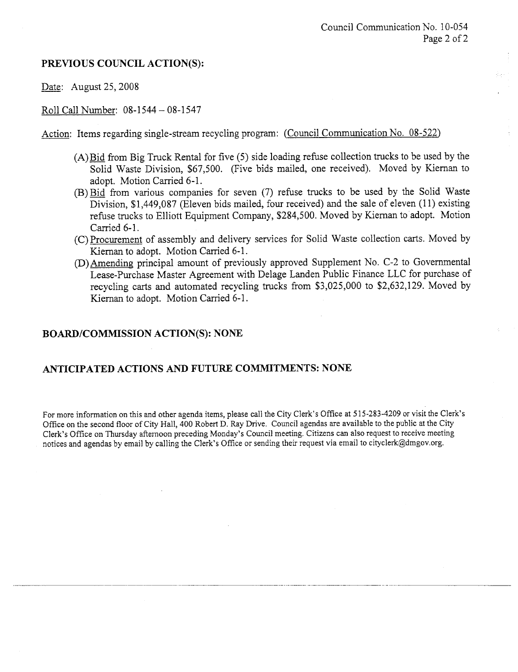### PREVIOUS COUNCIL ACTION(S):

Date: August 25, 2008

Roll Call Number: 08-1544 - 08-1547

Action: Items regarding single-stream recycling program: (Council Communication No. 08-522)

- $(A)$  Bid from Big Truck Rental for five  $(5)$  side loading refuse collection trucks to be used by the Solid Waste Division, \$67,500. (Five bids mailed, one received). Moved by Kiernan to adopt. Motion Carried 6-1.
- (B) Bid from various companes for seven (7) refuse trucks to be used by the Solid Waste Division, \$1,449,087 (Eleven bids mailed, four received) and the sale of eleven (11) existing refuse trucks to Elliott Equipment Company, \$284,500. Moved by Kiernan to adopt. Motion Carried 6-1.
- (C) Procurement of assembly and delivery services for Solid Waste collection cars. Moved by Kiernan to adopt. Motion Carried 6-1.
- (D) Amending principal amount of previously approved Supplement No. C-2 to Governental Lease-Purchase Master Agreement with Delage Landen Public Finance LLC for purchase of recycling carts and automated recycling trucks from  $$3,025,000$  to  $$2,632,129$ . Moved by Kiernan to adopt. Motion Caried 6-1.

### BOARD/COMMISSION ACTION(S): NONE

### ANTICIPATED ACTIONS AND FUTURE COMMITMENTS: NONE

For more information on this and other agenda items, please call the City Clerk's Office at 515-283-4209 or visit the Clerk's Office on the second floor of City Hall, 400 Robert D. Ray Drive. Council agendas are available to the public at the City Clerk's Office on Thursday afternoon preceding Monday's Council meeting. Citizens can also request to receive meeting notices and agendas by email by calling the Clerk's Office or sending their request via email to cityclerk@dmgov.org.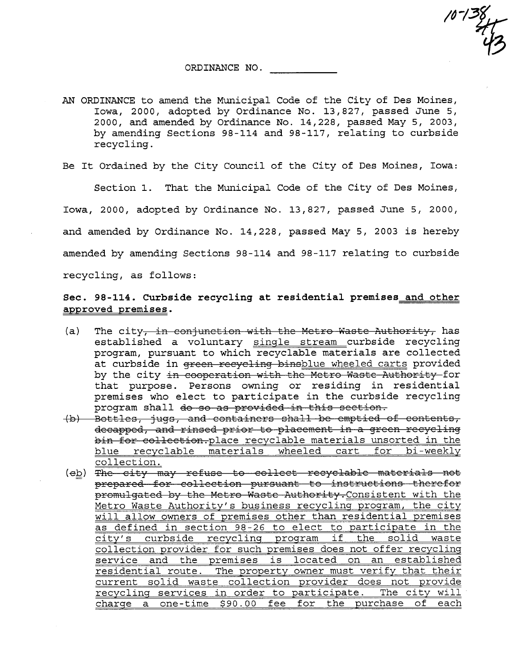$10^{-138}$ 

ORDINANCE NO.

AN ORDINANCE to amend the Municipal Code of the City of Des Moines, Iowa, 2000, adopted by Ordinance No. 13,827, passed June 5, 2000, and amended by Ordinance No. 14,228, passed May 5, 2003, by amending Sections 98-114 and 98-117, relating to curbside recycling.

Be It Ordained by the City Council of the City of Des Moines, Iowa:

Section 1. That the Municipal Code of the City of Des Moines, Iowa, 2000, adopted by Ordinance No. 13,827, passed June 5, 2000, and amended by Ordinance No. 14,228, passed May 5, 2003 is hereby amended by amending Sections 98 - 114 and 98 - 117 relating to curbside recycling, as follows:

### Sec. 98-114. Curbside recycling at residential premises and other approved premises.

- (a) The city, in conjunction with the Metro Waste Authority, has established a voluntary single stream curbside recycling program, pursuant to which recyclable materials are collected at curbside in green recycling binsblue wheeled carts provided<br>by the city in cooperation with the Metro Waste Authority for that purpose. Persons owning or residing in residential premises who elect to participate in the curbside recycling program shall do so as provided in this section.
- (b) Bottles, jugs, and containers shall be emptied of contents, decapped, and rinsed prior to placement in a green recycling bin for collection. place recyclable materials unsorted in the blue recyclable materials wheeled cart for bi-weekly collection.
- (eb) The city may refuse to collect recyclable materials not prepared for collection pursuant to instructions therefor promulgated by the Metro Waste Authority. Consistent with the Metro Waste Authority's business recycling program, the city will allow owners of premises other than residential premises as defined in section 98-26 to elect to participate in the city's curbside recyclinq program if the solid waste collection provider for such premises does not offer recycling service and the premises is located on an established residential route. The property owner must verify that their current solid waste collection provider does not provide recycling services in order to participate. The city will charge a one-time \$90.00 fee for the purchase of each